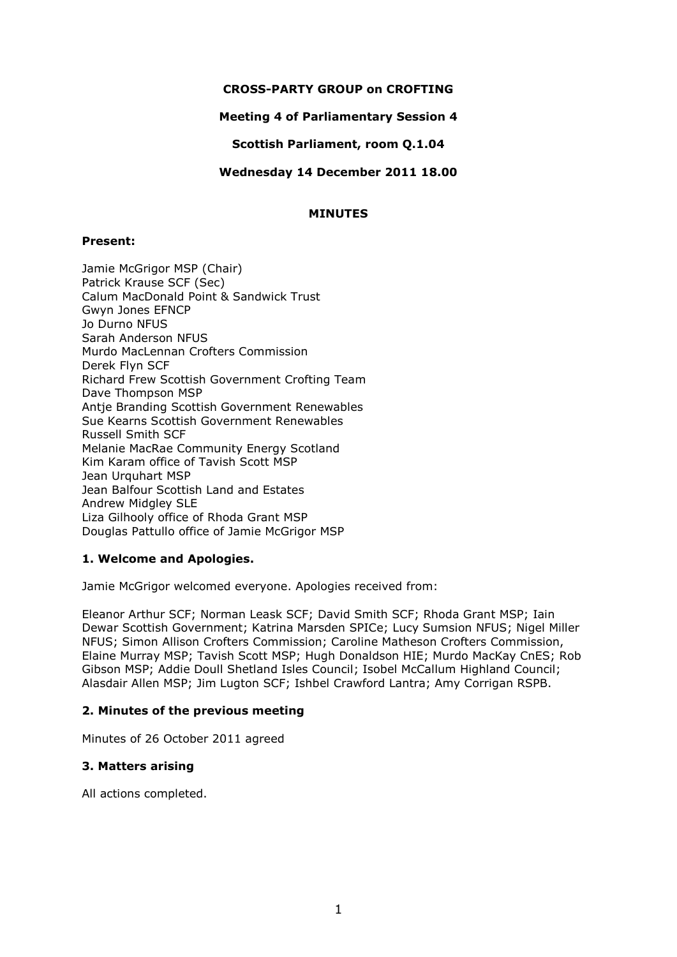## **CROSS-PARTY GROUP on CROFTING**

### **Meeting 4 of Parliamentary Session 4**

### **Scottish Parliament, room Q.1.04**

### **Wednesday 14 December 2011 18.00**

### **MINUTES**

#### **Present:**

Jamie McGrigor MSP (Chair) Patrick Krause SCF (Sec) Calum MacDonald Point & Sandwick Trust Gwyn Jones EFNCP Jo Durno NFUS Sarah Anderson NFUS Murdo MacLennan Crofters Commission Derek Flyn SCF Richard Frew Scottish Government Crofting Team Dave Thompson MSP Antie Branding Scottish Government Renewables Sue Kearns Scottish Government Renewables Russell Smith SCF Melanie MacRae Community Energy Scotland Kim Karam office of Tavish Scott MSP Jean Urquhart MSP Jean Balfour Scottish Land and Estates Andrew Midgley SLE Liza Gilhooly office of Rhoda Grant MSP Douglas Pattullo office of Jamie McGrigor MSP

## **1. Welcome and Apologies.**

Jamie McGrigor welcomed everyone. Apologies received from:

Eleanor Arthur SCF; Norman Leask SCF; David Smith SCF; Rhoda Grant MSP; Iain Dewar Scottish Government; Katrina Marsden SPICe; Lucy Sumsion NFUS; Nigel Miller NFUS; Simon Allison Crofters Commission; Caroline Matheson Crofters Commission, Elaine Murray MSP; Tavish Scott MSP; Hugh Donaldson HIE; Murdo MacKay CnES; Rob Gibson MSP; Addie Doull Shetland Isles Council; Isobel McCallum Highland Council; Alasdair Allen MSP; Jim Lugton SCF; Ishbel Crawford Lantra; Amy Corrigan RSPB.

## **2. Minutes of the previous meeting**

Minutes of 26 October 2011 agreed

#### **3. Matters arising**

All actions completed.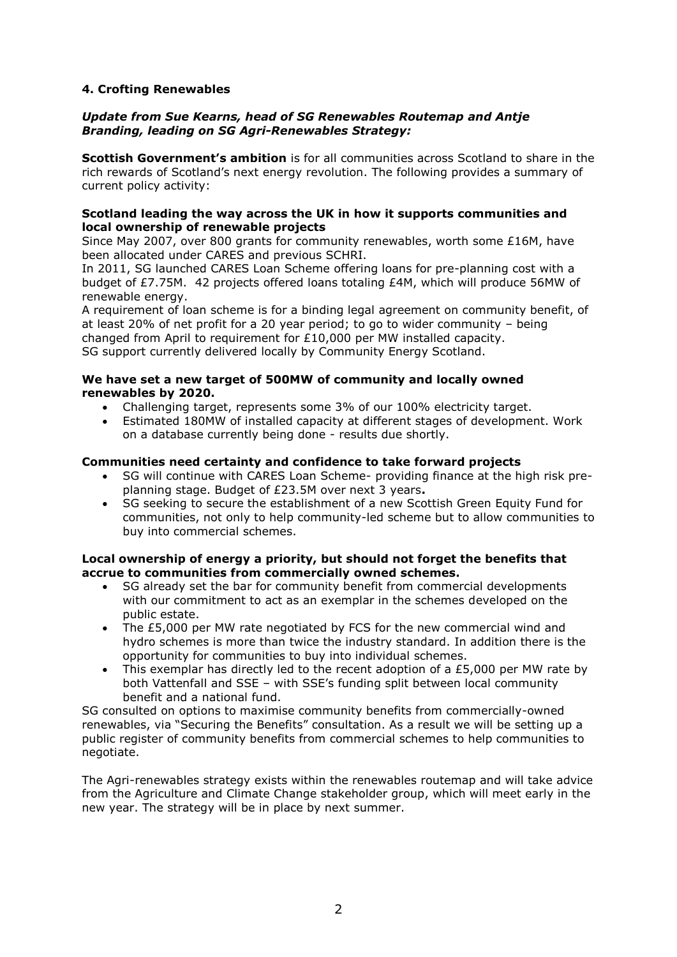# **4. Crofting Renewables**

### *Update from Sue Kearns, head of SG Renewables Routemap and Antje Branding, leading on SG Agri-Renewables Strategy:*

**Scottish Government's ambition** is for all communities across Scotland to share in the rich rewards of Scotland's next energy revolution. The following provides a summary of current policy activity:

### **Scotland leading the way across the UK in how it supports communities and local ownership of renewable projects**

Since May 2007, over 800 grants for community renewables, worth some £16M, have been allocated under CARES and previous SCHRI.

In 2011, SG launched CARES Loan Scheme offering loans for pre-planning cost with a budget of £7.75M. 42 projects offered loans totaling £4M, which will produce 56MW of renewable energy.

A requirement of loan scheme is for a binding legal agreement on community benefit, of at least 20% of net profit for a 20 year period; to go to wider community – being changed from April to requirement for £10,000 per MW installed capacity. SG support currently delivered locally by Community Energy Scotland.

#### **We have set a new target of 500MW of community and locally owned renewables by 2020.**

- Challenging target, represents some 3% of our 100% electricity target.
- Estimated 180MW of installed capacity at different stages of development. Work on a database currently being done - results due shortly.

### **Communities need certainty and confidence to take forward projects**

- SG will continue with CARES Loan Scheme- providing finance at the high risk preplanning stage. Budget of £23.5M over next 3 years**.**
- SG seeking to secure the establishment of a new Scottish Green Equity Fund for communities, not only to help community-led scheme but to allow communities to buy into commercial schemes.

### **Local ownership of energy a priority, but should not forget the benefits that accrue to communities from commercially owned schemes.**

- SG already set the bar for community benefit from commercial developments with our commitment to act as an exemplar in the schemes developed on the public estate.
- The £5,000 per MW rate negotiated by FCS for the new commercial wind and hydro schemes is more than twice the industry standard. In addition there is the opportunity for communities to buy into individual schemes.
- This exemplar has directly led to the recent adoption of a £5,000 per MW rate by both Vattenfall and SSE – with SSE's funding split between local community benefit and a national fund.

SG consulted on options to maximise community benefits from commercially-owned renewables, via "Securing the Benefits" consultation. As a result we will be setting up a public register of community benefits from commercial schemes to help communities to negotiate.

The Agri-renewables strategy exists within the renewables routemap and will take advice from the Agriculture and Climate Change stakeholder group, which will meet early in the new year. The strategy will be in place by next summer.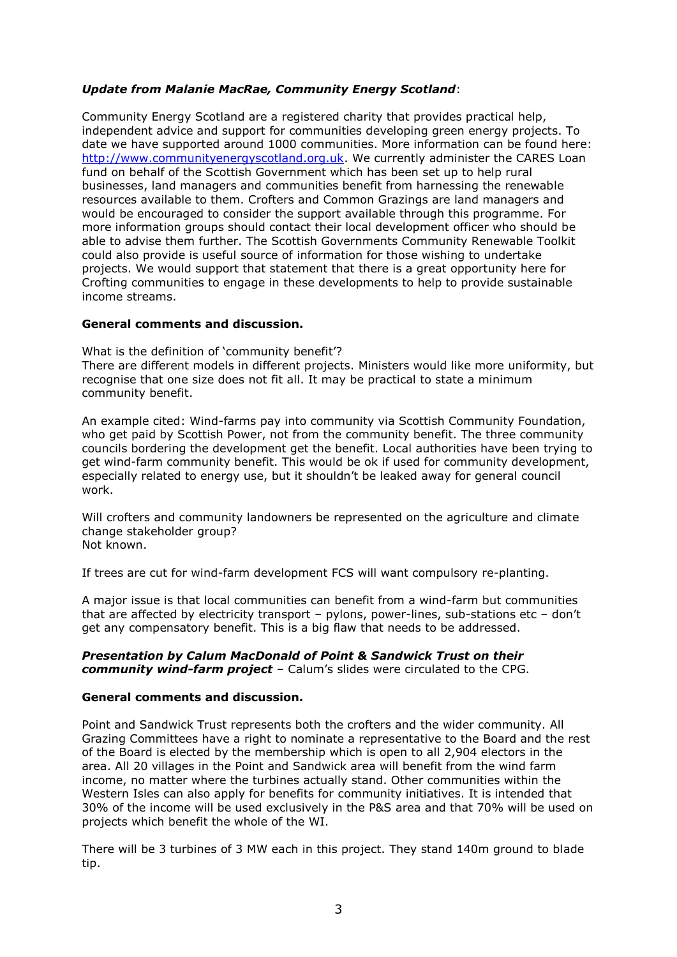# *Update from Malanie MacRae, Community Energy Scotland*:

Community Energy Scotland are a registered charity that provides practical help, independent advice and support for communities developing green energy projects. To date we have supported around 1000 communities. More information can be found here: [http://www.communityenergyscotland.org.uk.](http://www.communityenergyscotland.org.uk/) We currently administer the CARES Loan fund on behalf of the Scottish Government which has been set up to help rural businesses, land managers and communities benefit from harnessing the renewable resources available to them. Crofters and Common Grazings are land managers and would be encouraged to consider the support available through this programme. For more information groups should contact their local development officer who should be able to advise them further. The Scottish Governments Community Renewable Toolkit could also provide is useful source of information for those wishing to undertake projects. We would support that statement that there is a great opportunity here for Crofting communities to engage in these developments to help to provide sustainable income streams.

### **General comments and discussion.**

What is the definition of 'community benefit'? There are different models in different projects. Ministers would like more uniformity, but recognise that one size does not fit all. It may be practical to state a minimum community benefit.

An example cited: Wind-farms pay into community via Scottish Community Foundation, who get paid by Scottish Power, not from the community benefit. The three community councils bordering the development get the benefit. Local authorities have been trying to get wind-farm community benefit. This would be ok if used for community development, especially related to energy use, but it shouldn't be leaked away for general council work.

Will crofters and community landowners be represented on the agriculture and climate change stakeholder group? Not known.

If trees are cut for wind-farm development FCS will want compulsory re-planting.

A major issue is that local communities can benefit from a wind-farm but communities that are affected by electricity transport – pylons, power-lines, sub-stations etc – don't get any compensatory benefit. This is a big flaw that needs to be addressed.

#### *Presentation by Calum MacDonald of Point & Sandwick Trust on their community wind-farm project* – Calum's slides were circulated to the CPG.

## **General comments and discussion.**

Point and Sandwick Trust represents both the crofters and the wider community. All Grazing Committees have a right to nominate a representative to the Board and the rest of the Board is elected by the membership which is open to all 2,904 electors in the area. All 20 villages in the Point and Sandwick area will benefit from the wind farm income, no matter where the turbines actually stand. Other communities within the Western Isles can also apply for benefits for community initiatives. It is intended that 30% of the income will be used exclusively in the P&S area and that 70% will be used on projects which benefit the whole of the WI.

There will be 3 turbines of 3 MW each in this project. They stand 140m ground to blade tip.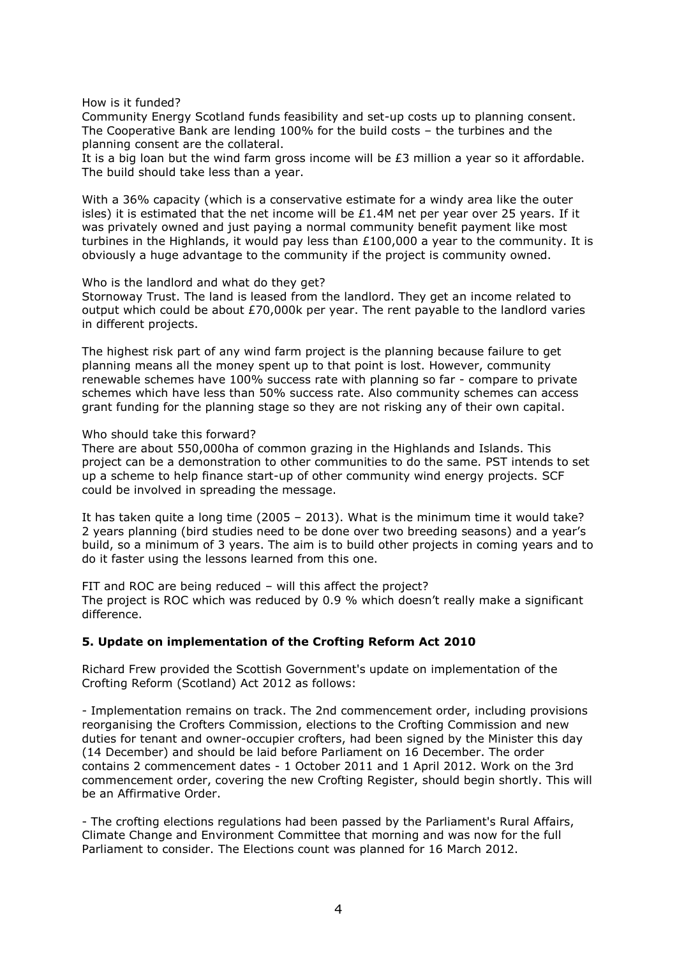How is it funded?

Community Energy Scotland funds feasibility and set-up costs up to planning consent. The Cooperative Bank are lending 100% for the build costs – the turbines and the planning consent are the collateral.

It is a big loan but the wind farm gross income will be  $E3$  million a year so it affordable. The build should take less than a year.

With a 36% capacity (which is a conservative estimate for a windy area like the outer isles) it is estimated that the net income will be  $£1.4M$  net per year over 25 years. If it was privately owned and just paying a normal community benefit payment like most turbines in the Highlands, it would pay less than £100,000 a year to the community. It is obviously a huge advantage to the community if the project is community owned.

Who is the landlord and what do they get?

Stornoway Trust. The land is leased from the landlord. They get an income related to output which could be about £70,000k per year. The rent payable to the landlord varies in different projects.

The highest risk part of any wind farm project is the planning because failure to get planning means all the money spent up to that point is lost. However, community renewable schemes have 100% success rate with planning so far - compare to private schemes which have less than 50% success rate. Also community schemes can access grant funding for the planning stage so they are not risking any of their own capital.

#### Who should take this forward?

There are about 550,000ha of common grazing in the Highlands and Islands. This project can be a demonstration to other communities to do the same. PST intends to set up a scheme to help finance start-up of other community wind energy projects. SCF could be involved in spreading the message.

It has taken quite a long time (2005 – 2013). What is the minimum time it would take? 2 years planning (bird studies need to be done over two breeding seasons) and a year's build, so a minimum of 3 years. The aim is to build other projects in coming years and to do it faster using the lessons learned from this one.

FIT and ROC are being reduced – will this affect the project? The project is ROC which was reduced by 0.9 % which doesn't really make a significant difference.

#### **5. Update on implementation of the Crofting Reform Act 2010**

Richard Frew provided the Scottish Government's update on implementation of the Crofting Reform (Scotland) Act 2012 as follows:

- Implementation remains on track. The 2nd commencement order, including provisions reorganising the Crofters Commission, elections to the Crofting Commission and new duties for tenant and owner-occupier crofters, had been signed by the Minister this day (14 December) and should be laid before Parliament on 16 December. The order contains 2 commencement dates - 1 October 2011 and 1 April 2012. Work on the 3rd commencement order, covering the new Crofting Register, should begin shortly. This will be an Affirmative Order.

- The crofting elections regulations had been passed by the Parliament's Rural Affairs, Climate Change and Environment Committee that morning and was now for the full Parliament to consider. The Elections count was planned for 16 March 2012.